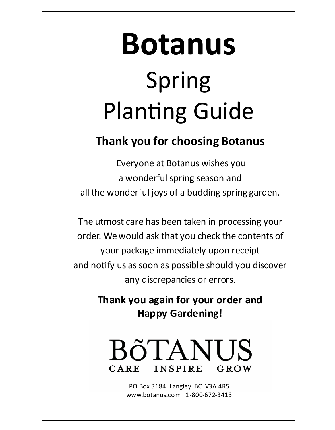# **Botanus** Spring Planting Guide

# **Thank you for choosing Botanus**

Everyone at Botanus wishes you a wonderful spring season and all the wonderful joys of a budding spring garden.

The utmost care has been taken in processing your order. We would ask that you check the contents of your package immediately upon receipt and notify us as soon as possible should you discover any discrepancies or errors.

> **Thank you again for your order and Happy Gardening!**



PO Box 3184 Langley BC V3A 4R5 www.botanus.com 1-800-672-3413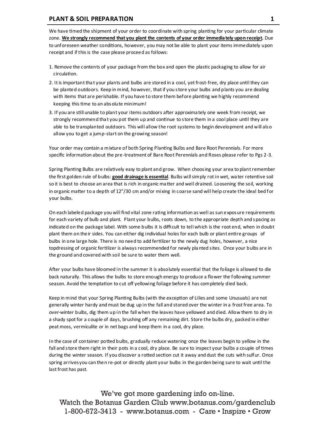#### **PLANT & SOIL PREPARATION 1**

We have timed the shipment of your order to coordinate with spring planting for your particular climate zone. We strongly recommend that you plant the contents of your order immediately upon receipt. Due to unforeseen weather conditions, however, you may not be able to plant your items immediately upon receipt and if this is the case please proceed as follows:

- 1. Remove the contents of your package from the box and open the plastic packaging to allow for air circulation.
- 2. It is important tha t your plants and bulbs are stored in a cool, yet frost-free, dry place until they can be planted outdoors. Keep in mind, however, that if you store your bulbs and plants you are dealing with items that are perishable. If you have to store them before planting we highly recommend keeping this time to an absolute minimum!
- 3. If you are still unable to plant your items outdoors after approxima tely one week from receipt, we strongly recommend tha t you pot them up and continue to store them in a cool place until they are able to be transplanted outdoors. This will allow the root systems to begin development and will also allow you to get a jump-start on the growing season!

Your order may contain a mixture of both Spring Planting Bulbs and Bare Root Perennials. For more specific information about the pre-treatment of Bare Root Perennials and Roses please refer to Pgs 2-3.

Spring Planting Bulbs are relatively easy to plant and grow. When choosing your area to plant remember the first golden rule of bulbs: **good drainage is essential**. Bulbs will simply rot in wet, wa ter retentive soil so it is best to choose an area that is rich in organic ma tter and well drained. Loosening the soil, working in organic matter to a depth of 12"/30 cm and/or mixing in coarse sand will help create the ideal bed for your bulbs.

On each labeled package you will find vital zone rating information as well as sun exposure requirements for each variety of bulb and plant. Plant your bulbs, roots down, to the appropriate depth and spacing as indicated on the package label. With some bulbs it is difficult to tell which is the root end, when in doubt plant them on their sides. You can either dig individual holes for each bulb or plant entire groups of bulbs in one large hole. There is no need to add fertilizer to the newly dug holes, however, a nice topdressing of organic fertilizer is always recommended for newly pla nted sites. Once your bulbs are in the ground and covered with soil be sure to water them well.

After your bulbs have bloomed in the summer it is absolutely essential that the foliage is allowed to die back naturally. This allows the bulbs to store enough energy to produce a flower the following summer season. Avoid the temptation to cut off yellowing foliage before it has completely died back.

Keep in mind that your Spring Planting Bulbs (with the exception of Lilies and some Unusuals) are not generally winter hardy and must be dug up in the fall and stored over the winter in a frost free area. To over-winter bulbs, dig them up in the fall when the leaves have yellowed and died. Allow them to dry in a shady spot for a couple of days, brushing off any remaining dirt. Store the bulbs dry, packed in either peat moss, vermiculite or in net bags and keep them in a cool, dry place.

In the case of container potted bulbs, gradually reduce watering once the leaves begin to yellow in the fall and store them right in their pots in a cool, dry place. Be sure to inspect your bulbs a couple of times during the winter season. If you discover a rotted section cut it away and dust the cuts with sulfur. Once spring arrives you can then re-pot or directly plant your bulbs in the garden being sure to wait until the last frost has past.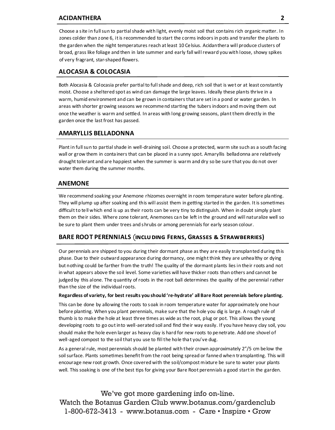#### **ACIDANTHERA 2**

Choose a site in full sun to partial shade with light, evenly moist soil that contains rich organic matter. In zones colder than zone 6, it is recommended to start the corms indoors in pots and transfer the plants to the garden when the night temperatures reach at least 10 Celsius. Acidanthera will produce clusters of broad, grass like foliage and then in late summer and early fall will reward you with loose, showy spikes of very fragrant, star-shaped flowers.

#### **ALOCASIA & COLOCASIA**

Both Alocasia & Colocasia prefer partial to full shade and deep, rich soil that is wet or at least constantly moist. Choose a sheltered spot as wind can damage the large leaves. Ideally these plants thrive in a warm, humid environment and can be grown in containers that are set in a pond or water garden. In areas with shorter growing seasons we recommend starting the tubers indoors and moving them out once the weather is warm and settled. In areas with long growing seasons, plant them directly in the garden once the last frost has passed.

#### **AMARYLLIS BELLADONNA**

Plant in full sun to partial shade in well-draining soil. Choose a protected, warm site such as a south facing wall or grow them in conta iners that can be placed in a sunny spot. Amaryllis belladonna are relatively drought tolerant and are happiest when the summer is warm and dry so be sure that you do not over water them during the summer months.

#### **ANEMONE**

We recommend soaking your Anemone rhizomes overnight in room temperature water before pla nting. They will plump up after soaking and this will assist them in getting started in the garden. It is sometimes difficult to tell which end is up as their roots can be very tiny to distinguish. When in doubt simply plant them on their sides. Where zone tolerant, Anemones ca n be left in the ground and will naturalize well so be sure to plant them under trees and shrubs or among perennials for early season colour.

#### BARE ROOT PERENNIALS (INCLUDING FERNS, GRASSES & STRAWBERRIES)

Our perennials are shipped to you during their dormant phase as they are easily transplanted during this phase. Due to their outward appearance during dormancy, one might think they are unhea lthy or dying but nothing could be farther from the truth! The quality of the dormant plants lies in their roots and not in what appears above the soil level. Some varieties will have thicker roots than others and cannot be judged by this alone. The quantity of roots in the root ball determines the quality of the perennial rather than the size of the individual roots.

#### **Regardless of variety, for best results you should 're-hydrate' all Bare Root perennials before planting.**

This can be done by allowing the roots to soak in room temperature water for approximately one hour before planting. When you plant perennials, make sure that the hole you dig is large. A rough rule of thumb is to make the hole at least three times as wide as the root, plug or pot. This allows the young developing roots to go out into well-aerated soil and find their way easily. If you have heavy clay soil, you should make the hole even larger as heavy clay is hard for new roots to penetrate. Add one shovel of well-aged compost to the soil that you use to fill the hole tha t you've dug.

As a general rule, most perennials should be planted with their crown approximately 2"/5 cm below the soil surface. Plants sometimes benefit from the root being spread or fanned when transplanting. This will encourage new root growth. Once covered with the soil/compost mixture be sure to water your plants well. This soaking is one of the best tips for giving your Bare Root perennials a good start in the garden.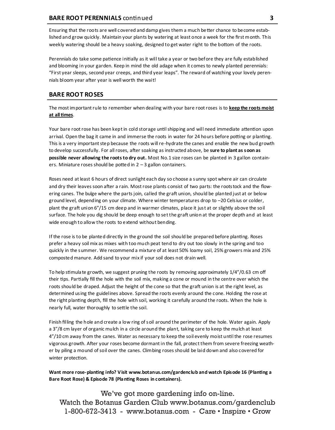Ensuring that the roots are well covered and damp gives them a much better chance to become established and grow quickly. Maintain your plants by watering at least once a week for the first month. This weekly watering should be a heavy soaking, designed to get water right to the bottom of the roots.

Perennials do take some patience initially as it will take a year or two before they are fully established and blooming in your garden. Keep in mind the old adage when it comes to newly planted perennials: "First year sleeps, second year creeps, and third year leaps". The reward of watching your lovely perennials bloom year after year is well worth the wait!

# **BARE ROOT ROSES**

The most important rule to remember when dealing with your bare root roses is to **keep the roots moist at all times**.

Your bare root rose has been kept in cold storage until shipping and will need immediate attention upon arrival. Open the bag it came in and immerse the roots in water for 24 hours before potting or planting. This is a very important step because the roots will re-hydrate the canes and enable the new bud growth to develop successfully. For all roses, after soaking as instructed above, be **sure to plant as soon as possible never allowing the roots to dry out.** Most No.1 size roses can be planted in 3 gallon containers. Miniature roses should be potted in  $2 - 3$  gallon containers.

Roses need at least 6 hours of direct sunlight each day so choose a sunny spot where air can circulate and dry their leaves soon after a rain. Most rose plants consist of two parts: the rootstock and the flowering canes. The bulge where the parts join, called the graft union, should be planted just at or below ground level, depending on your climate. Where winter temperatures drop to –20 Celsius or colder, plant the graft union 6"/15 cm deep and in warmer climates, place it just at or slightly above the soil surface. The hole you dig should be deep enough to set the graft union at the proper depth and at least wide enough to allow the roots to extend without bending.

If the rose is to be planted directly in the ground the soil should be prepared before planting. Roses prefer a heavy soil mix as mixes with too much peat tend to dry out too slowly in the spring and too quickly in the summer. We recommend a mixture of at least 50% loamy soil, 25% growers mix and 25% composted manure. Add sand to your mix if your soil does not drain well.

To help stimula te growth, we suggest pruning the roots by removing approximately 1/4"/0.63 cm off their tips. Partially fill the hole with the soil mix, making a cone or mound in the centre over which the roots should be draped. Adjust the height of the cone so that the graft union is at the right level, as determined using the guidelines above. Spread the roots evenly around the cone. Holding the rose at the right planting depth, fill the hole with soil, working it carefully around the roots. When the hole is nearly full, water thoroughly to settle the soil.

Finish filling the hole and create a low ring of soil around the perimeter of the hole. Water again. Apply a 3"/8 cm layer of organic mulch in a circle around the plant, taking care to keep the mulch at least 4"/10 cm away from the canes. Water as necessary to keep the soil evenly moist until the rose resumes vigorous growth. After your roses become dormant in the fall, protect them from severe freezing weather by piling a mound of soil over the canes. Climbing roses should be laid down and also covered for winter protection.

**Want more rose-planting info? Visit www.botanus.com/gardenclub and watch Episode 16 (Planting a Bare Root Rose) & Episode 78 (Planting Roses in containers).**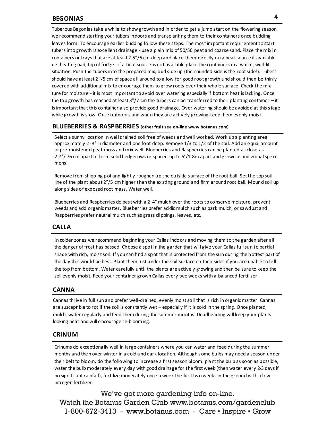# **BEGONIAS**

Tuberous Begonias take a while to show growth and in order to get a jump start on the flowering season we recommend starting your tubers indoors and transplanting them to their containers once budding leaves form. To encourage earlier budding follow these steps: The most important requirement to start tubers into growth is excellent drainage - use a plain mix of 50/50 peat and coarse sand. Place the mix in containers or trays that are at least 2.5"/6 cm deep and place them directly on a heat source if available i.e. heating pad, top of fridge - if a heat source is not available place the containers in a warm, well-lit situation. Push the tubers into the prepared mix, bud side up (the rounded side is the root side!). Tubers should have at least 2"/5 cm of space all around to allow for good root growth a nd should then be thinly covered with additional mix to encourage them to grow roots over their whole surface. Check the mixture for moisture - it is most important to avoid over watering especially if bottom heat is lacking. Once the top growth has reached at least 3"/7 cm the tubers can be transferred to their planting container – it is important tha t this container also provide good drainage. Over watering should be avoided at this stage while growth is slow. Once outdoors and when they are actively growing keep them evenly moist.

#### **BLUEBERRIES & RASPBERRIES (other fruit see on-line www.botanus.com)**

Select a sunny location in well drained soil free of weeds a nd well worked. Work up a planting area approximately 2-½' in diameter and one foot deep. Remove 1/3 to 1/2 of the soil. Add an equal amount of pre-moistened peat moss and mix well. Blueberries and Raspberries can be planted as close as 2 ½'/ 76 cm apart to form solid hedgerows or spaced up to 6'/1.8m apart and grown as individual specimens.

Remove from shipping pot and lightly roughen up the outside surface of the root ball. Set the top soil line of the plant about 2"/5 cm higher than the existing ground and firm around root ball. Mound soil up along sides of exposed root mass. Water well.

Blueberries and Raspberries do best with a 2-4" mulch over the roots to conserve moisture, prevent weeds and add organic matter. Blueberries prefer acidic mulch such as bark mulch, or sawdust and Raspberries prefer neutral mulch such as grass clippings, leaves, etc.

#### **CALLA**

In colder zones we recommend beginning your Callas indoors and moving them to the garden after all the danger of frost has passed. Choose a spot in the garden that will give your Callas full sun to partial shade with rich, moist soil. If you can find a spot that is protected from the sun during the hottest part of the day this would be best. Plant them just under the soil surface on their sides if you are unable to tell the top from bottom. Water carefully until the plants are actively growing and then be sure to keep the soil evenly moist. Feed your conta iner grown Callas every two weeks with a balanced fertilizer.

#### **CANNA**

Cannas thrive in full sun and prefer well-drained, evenly moist soil that is rich in organic ma tter. Cannas are susceptible to rot if the soil is constantly wet – especially if it is cold in the spring. Once planted, mulch, water regularly and feed them during the summer months. Deadheading will keep your plants looking neat and will encourage re-blooming.

#### **CRINUM**

Crinums do exceptiona lly well in large containers where you can water and feed during the summer months and then over winter in a cold a nd dark location. Although some bulbs may need a season under their belt to bloom, do the following to increase a first season bloom: pla nt the bulb as soon as possible, water the bulb moderately every day with good drainage for the first week (then wa ter every 2-3 days if no significant rainfall), fertilize moderately once a week the first two weeks in the ground with a low nitrogen fertilizer.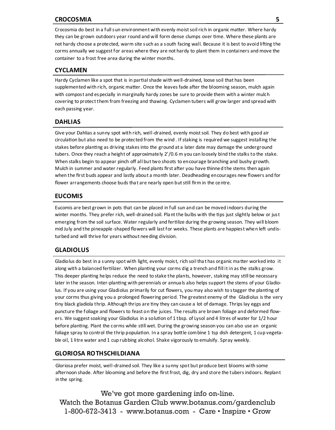#### **CROCOSMIA 5**

Crocosmia do best in a full sun environment with evenly moist soil rich in organic matter. Where hardy they can be grown outdoors year round and will form dense clumps over time. Where these plants are not hardy choose a protected, warm site such as a south facing wall. Because it is best to avoid lifting the corms annually we suggest for areas where they are not hardy to plant them in containers and move the container to a frost free area during the winter months.

#### **CYCLAMEN**

Hardy Cyclamen like a spot that is in partial shade with well-drained, loose soil that has been supplemented with rich, organic matter. Once the leaves fade after the blooming season, mulch again with compost and especially in marginally hardy zones be sure to provide them with a winter mulch covering to protect them from freezing and thawing. Cyclamen tubers will grow larger and spread with each passing year.

#### **DAHLIAS**

Give your Dahlias a sunny spot with rich, well-drained, evenly moist soil. They do best with good air circulation but also need to be protected from the wind . If staking is required we suggest installing the stakes before planting as driving stakes into the ground at a later date may damage the underground tubers. Once they reach a height of approximately 2'/0.6 m you can loosely bind the stalks to the stake. When stalks begin to appear pinch off all but two shoots to encourage branching and bushy growth. Mulch in summer and water regularly. Feed plants first after you have thinned the stems then again when the first buds appear and lastly about a month later. Deadheading encourages new flowers and for flower arrangements choose buds tha t are nearly open but still firm in the centre.

#### **EUCOMIS**

Eucomis are best grown in pots that can be placed in full sun and can be moved indoors during the winter months. They prefer rich, well-drained soil. Pla nt the bulbs with the tips just slightly below or just emerging from the soil surface. Water regularly and fertilize during the growing season. They will bloom mid July and the pineapple-shaped flowers will last for weeks. These plants are happiest when left undisturbed and will thrive for years without needing division.

#### **GLADIOLUS**

Gladiolus do best in a sunny spot with light, evenly moist, rich soil tha t has organic ma tter worked into it along with a balanced fertilizer. When planting your corms dig a trench and fill it in as the stalks grow. This deeper planting helps reduce the need to stake the plants, however, staking may still be necessary later in the season. Inter-planting with perennials or annua ls also helps support the stems of your Gladiolus. If you are using your Gladiolus primarily for cut flowers, you may also wish to stagger the planting of your corms thus giving you a prolonged flowering period. The greatest enemy of the Gladiolus is the very tiny black gladiola thrip. Although thrips are tiny they can cause a lot of damage. Thrips lay eggs and puncture the foliage and flowers to feast on the juices. The results are brown foliage and deformed flowers. We suggest soaking your Gladiolus in a solution of 1 tbsp. of Lysol and 4 litres of water for 1/2 hour before planting. Plant the corms while still wet. During the growing season you can also use an organic foliage spray to control the thrip population. In a spray bottle combine 1 tsp dish detergent, 1 cup vegetable oil, 1 litre water and 1 cup rubbing alcohol. Shake vigorously to emulsify. Spray weekly.

#### **GLORIOSA ROTHSCHILDIANA**

Gloriosa prefer moist, well-drained soil. They like a sunny spot but produce best blooms with some afternoon shade. After blooming and before the first frost, dig, dry and store the tubers indoors. Replant in the spring.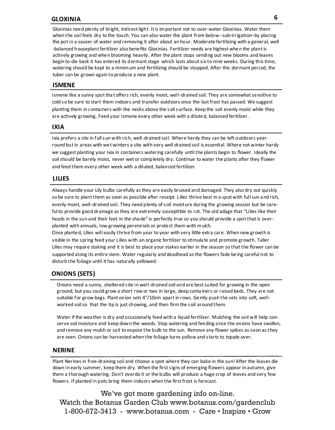# **GLOXINIA 6**

Gloxinias need plenty of bright, indirect light. It is important not to over-water Gloxinias. Water them when the soil feels dry to the touch. You can also water the plant from below--sub-irrigation--by placing the pot in a saucer of water and removing it after about an hour. Moderate fertilizing with a general, well -balanced houseplant fertilizer also benefits Gloxinias. Fertilizer needs are highest when the plant is actively growing and when blooming heavily. After the plant stops sending out new blooms and leaves begin to die back it has entered its dormant stage which lasts about six to nine weeks. During this time, watering should be kept to a minimum and fertilizing should be stopped. After this dormant period, the tuber can be grown again to produce a new plant.

#### **ISMENE**

Ismene like a sunny spot tha t offers rich, evenly moist, well-drained soil. They are somewhat sensitive to cold so be sure to start them indoors and transfer outdoors once the last frost has passed. We suggest planting them in containers with the necks above the soil surface. Keep the soil evenly moist while they are actively growing. Feed your Ismene every other week with a diluted, balanced fertilizer.

#### **IXIA**

Ixia prefers a site in full sun with rich, well-drained soil. Where hardy they can be left outdoors yearround but in areas with wet winters a site with very well drained soil is essential. Where not winter hardy we suggest planting your Ixia in containers watering carefully until the plants begin to flower. Ideally the soil should be barely moist, never wet or completely dry. Continue to water the plants after they flower and feed them every other week with a diluted, balanced fertilizer.

#### **LILIES**

Always handle your Lily bulbs carefully as they are easily bruised and damaged. They also dry out quickly so be sure to plant them as soon as possible after receipt. Lilies thrive best in a spot with full sun a nd rich, evenly moist, well-drained soil. They need plenty of soil moisture during the growing season but be careful to provide good drainage as they are extremely susceptible to rot. The old adage that "Lilies like their heads in the sun and their feet in the sha de" is perfectly true so you should provide a spot that is overplanted with annuals, low growing perennials or protect them with mulch.

Once planted, Lilies will easily thrive from year to year with very little extra care. When new growth is visible in the spring feed your Lilies with an organic fertilizer to stimula te and promote growth. Taller Lilies may require staking and it is best to place your stakes earlier in the season so that the flower can be supported along its entire stem. Water regularly and deadhead as the flowers fade being careful not to disturb the foliage until it has naturally yellowed.

# **ONIONS (SETS)**

Onions need a sunny, sheltered site in well-drained soil and are best suited for growing in the open ground, but you could grow a short row or two in large, deep conta iners or raised beds. They are not suitable for grow bags. Plant onion sets 4"/10cm apart in rows. Gently push the sets into soft, wellworked soil so that the tip is just showing, and then firm the soil around them.

Water if the wea ther is dry and occasionally feed with a liquid fertilizer. Mulching the soil will help conserve soil moisture and keep down the weeds. Stop watering and feeding once the onions have swollen, and remove any mulch or soil to expose the bulb to the sun. Remove any flower spikes as soon as they are seen. Onions can be harvested when the foliage turns yellow and starts to topple over.

#### **NERINE**

Plant Nerines in free-draining soil and choose a spot where they can bake in the sun! After the leaves die down in early summer, keep them dry. When the first signs of emerging flowers appear in autumn, give them a thorough watering. Don't overdo it or the bulbs will produce a huge crop of leaves and very few flowers. If planted in pots bring them indoors when the first frost is forecast.